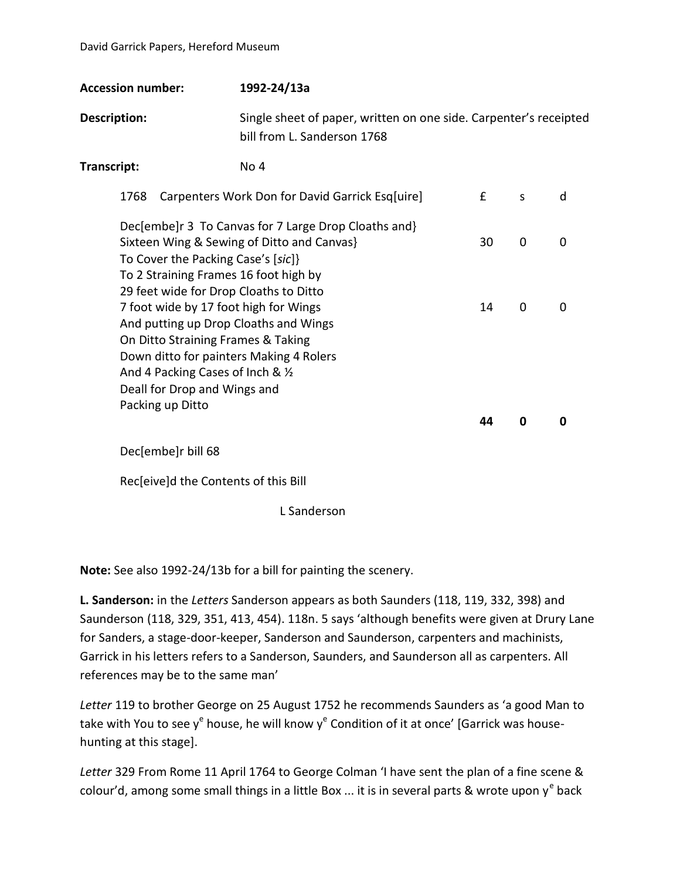| <b>Accession number:</b>                                                                                                                                                                                                                                                                                      | 1992-24/13a                                                                                      |          |                               |        |
|---------------------------------------------------------------------------------------------------------------------------------------------------------------------------------------------------------------------------------------------------------------------------------------------------------------|--------------------------------------------------------------------------------------------------|----------|-------------------------------|--------|
| <b>Description:</b>                                                                                                                                                                                                                                                                                           | Single sheet of paper, written on one side. Carpenter's receipted<br>bill from L. Sanderson 1768 |          |                               |        |
| Transcript:                                                                                                                                                                                                                                                                                                   | No 4                                                                                             |          |                               |        |
| 1768                                                                                                                                                                                                                                                                                                          | Carpenters Work Don for David Garrick Esq[uire]                                                  | f        | S                             | d      |
| Dec[embe]r 3 To Canvas for 7 Large Drop Cloaths and}<br>Sixteen Wing & Sewing of Ditto and Canvas}<br>To Cover the Packing Case's [sic]}<br>To 2 Straining Frames 16 foot high by<br>29 feet wide for Drop Cloaths to Ditto<br>7 foot wide by 17 foot high for Wings<br>And putting up Drop Cloaths and Wings |                                                                                                  | 30<br>14 | $\mathbf 0$<br>$\overline{0}$ | 0<br>0 |
| On Ditto Straining Frames & Taking<br>Down ditto for painters Making 4 Rolers<br>And 4 Packing Cases of Inch & 1/2<br>Deall for Drop and Wings and<br>Packing up Ditto                                                                                                                                        |                                                                                                  | 44       | 0                             | 0      |
| Dec[embe]r bill 68                                                                                                                                                                                                                                                                                            |                                                                                                  |          |                               |        |
| Rec[eive]d the Contents of this Bill                                                                                                                                                                                                                                                                          |                                                                                                  |          |                               |        |

L Sanderson

**Note:** See also 1992-24/13b for a bill for painting the scenery.

**L. Sanderson:** in the *Letters* Sanderson appears as both Saunders (118, 119, 332, 398) and Saunderson (118, 329, 351, 413, 454). 118n. 5 says 'although benefits were given at Drury Lane for Sanders, a stage-door-keeper, Sanderson and Saunderson, carpenters and machinists, Garrick in his letters refers to a Sanderson, Saunders, and Saunderson all as carpenters. All references may be to the same man'

*Letter* 119 to brother George on 25 August 1752 he recommends Saunders as 'a good Man to take with You to see y<sup>e</sup> house, he will know y<sup>e</sup> Condition of it at once' [Garrick was househunting at this stage].

*Letter* 329 From Rome 11 April 1764 to George Colman 'I have sent the plan of a fine scene & colour'd, among some small things in a little Box ... it is in several parts & wrote upon y<sup>e</sup> back